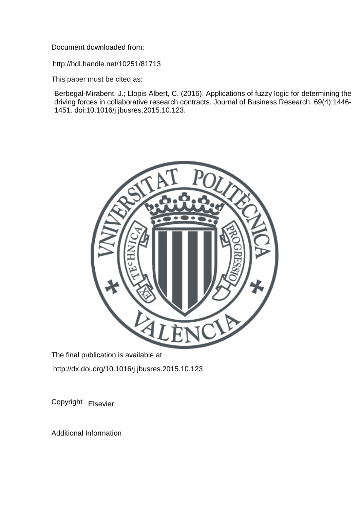Document downloaded from:

http://hdl.handle.net/10251/81713

This paper must be cited as:

Berbegal-Mirabent, J.; Llopis Albert, C. (2016). Applications of fuzzy logic for determining the driving forces in collaborative research contracts. Journal of Business Research. 69(4):1446- 1451. doi:10.1016/j.jbusres.2015.10.123.



The final publication is available at http://dx.doi.org/10.1016/j.jbusres.2015.10.123

Copyright Elsevier

Additional Information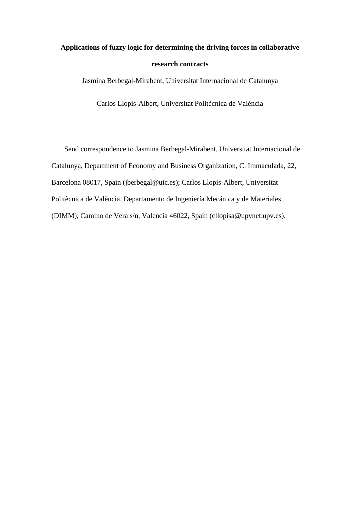# **Applications of fuzzy logic for determining the driving forces in collaborative research contracts**

Jasmina Berbegal-Mirabent, Universitat Internacional de Catalunya

Carlos Llopis-Albert, Universitat Politècnica de València

Send correspondence to Jasmina Berbegal-Mirabent, Universitat Internacional de Catalunya, Department of Economy and Business Organization, C. Immaculada, 22, Barcelona 08017, Spain (jberbegal@uic.es); Carlos Llopis-Albert, Universitat Politècnica de València, Departamento de Ingeniería Mecánica y de Materiales (DIMM), Camino de Vera s/n, Valencia 46022, Spain (cllopisa@upvnet.upv.es).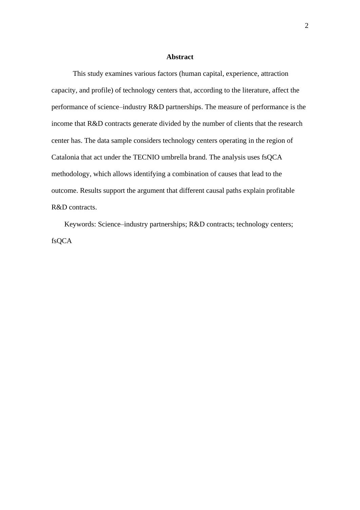#### **Abstract**

This study examines various factors (human capital, experience, attraction capacity, and profile) of technology centers that, according to the literature, affect the performance of science–industry R&D partnerships. The measure of performance is the income that R&D contracts generate divided by the number of clients that the research center has. The data sample considers technology centers operating in the region of Catalonia that act under the TECNIO umbrella brand. The analysis uses fsQCA methodology, which allows identifying a combination of causes that lead to the outcome. Results support the argument that different causal paths explain profitable R&D contracts.

Keywords: Science–industry partnerships; R&D contracts; technology centers; fsQCA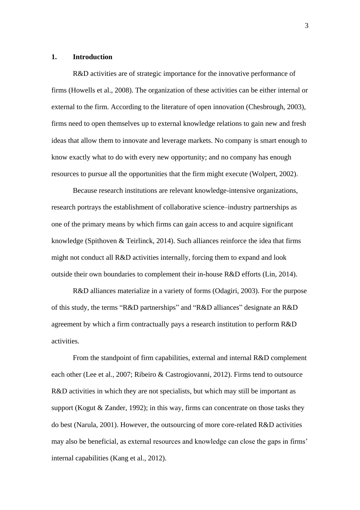## **1. Introduction**

R&D activities are of strategic importance for the innovative performance of firms (Howells et al., 2008). The organization of these activities can be either internal or external to the firm. According to the literature of open innovation (Chesbrough, 2003), firms need to open themselves up to external knowledge relations to gain new and fresh ideas that allow them to innovate and leverage markets. No company is smart enough to know exactly what to do with every new opportunity; and no company has enough resources to pursue all the opportunities that the firm might execute (Wolpert, 2002).

Because research institutions are relevant knowledge-intensive organizations, research portrays the establishment of collaborative science–industry partnerships as one of the primary means by which firms can gain access to and acquire significant knowledge (Spithoven & Teirlinck, 2014). Such alliances reinforce the idea that firms might not conduct all R&D activities internally, forcing them to expand and look outside their own boundaries to complement their in-house R&D efforts (Lin, 2014).

R&D alliances materialize in a variety of forms (Odagiri, 2003). For the purpose of this study, the terms "R&D partnerships" and "R&D alliances" designate an R&D agreement by which a firm contractually pays a research institution to perform R&D activities.

From the standpoint of firm capabilities, external and internal R&D complement each other (Lee et al., 2007; Ribeiro & Castrogiovanni, 2012). Firms tend to outsource R&D activities in which they are not specialists, but which may still be important as support (Kogut & Zander, 1992); in this way, firms can concentrate on those tasks they do best (Narula, 2001). However, the outsourcing of more core-related R&D activities may also be beneficial, as external resources and knowledge can close the gaps in firms' internal capabilities (Kang et al., 2012).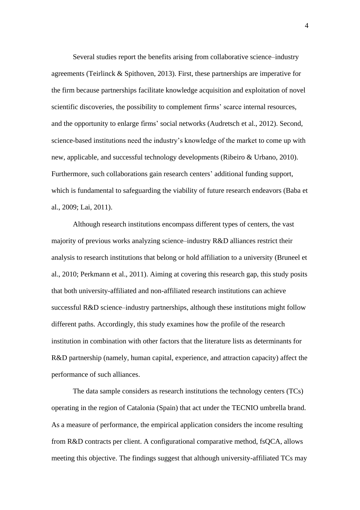Several studies report the benefits arising from collaborative science–industry agreements (Teirlinck & Spithoven, 2013). First, these partnerships are imperative for the firm because partnerships facilitate knowledge acquisition and exploitation of novel scientific discoveries, the possibility to complement firms' scarce internal resources, and the opportunity to enlarge firms' social networks (Audretsch et al., 2012). Second, science-based institutions need the industry's knowledge of the market to come up with new, applicable, and successful technology developments (Ribeiro & Urbano, 2010). Furthermore, such collaborations gain research centers' additional funding support, which is fundamental to safeguarding the viability of future research endeavors (Baba et al., 2009; Lai, 2011).

Although research institutions encompass different types of centers, the vast majority of previous works analyzing science–industry R&D alliances restrict their analysis to research institutions that belong or hold affiliation to a university (Bruneel et al., 2010; Perkmann et al., 2011). Aiming at covering this research gap, this study posits that both university-affiliated and non-affiliated research institutions can achieve successful R&D science–industry partnerships, although these institutions might follow different paths. Accordingly, this study examines how the profile of the research institution in combination with other factors that the literature lists as determinants for R&D partnership (namely, human capital, experience, and attraction capacity) affect the performance of such alliances.

The data sample considers as research institutions the technology centers (TCs) operating in the region of Catalonia (Spain) that act under the TECNIO umbrella brand. As a measure of performance, the empirical application considers the income resulting from R&D contracts per client. A configurational comparative method, fsQCA, allows meeting this objective. The findings suggest that although university-affiliated TCs may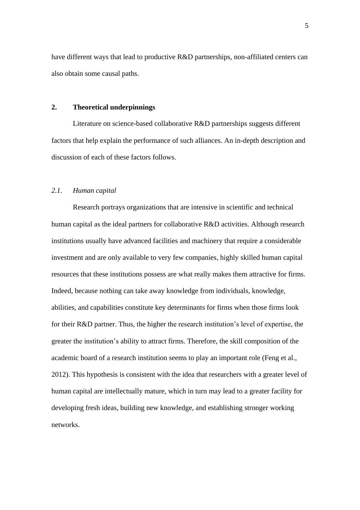have different ways that lead to productive R&D partnerships, non-affiliated centers can also obtain some causal paths.

# **2. Theoretical underpinnings**

Literature on science-based collaborative R&D partnerships suggests different factors that help explain the performance of such alliances. An in-depth description and discussion of each of these factors follows.

# *2.1. Human capital*

Research portrays organizations that are intensive in scientific and technical human capital as the ideal partners for collaborative R&D activities. Although research institutions usually have advanced facilities and machinery that require a considerable investment and are only available to very few companies, highly skilled human capital resources that these institutions possess are what really makes them attractive for firms. Indeed, because nothing can take away knowledge from individuals, knowledge, abilities, and capabilities constitute key determinants for firms when those firms look for their R&D partner. Thus, the higher the research institution's level of expertise, the greater the institution's ability to attract firms. Therefore, the skill composition of the academic board of a research institution seems to play an important role (Feng et al., 2012). This hypothesis is consistent with the idea that researchers with a greater level of human capital are intellectually mature, which in turn may lead to a greater facility for developing fresh ideas, building new knowledge, and establishing stronger working networks.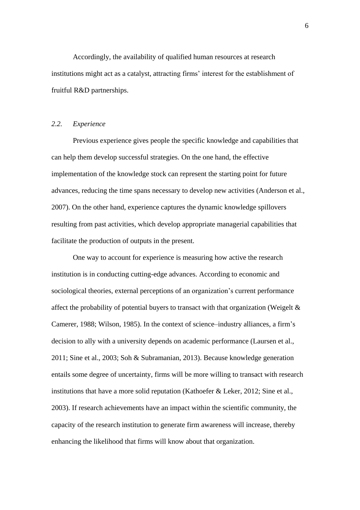Accordingly, the availability of qualified human resources at research institutions might act as a catalyst, attracting firms' interest for the establishment of fruitful R&D partnerships.

#### *2.2. Experience*

Previous experience gives people the specific knowledge and capabilities that can help them develop successful strategies. On the one hand, the effective implementation of the knowledge stock can represent the starting point for future advances, reducing the time spans necessary to develop new activities (Anderson et al., 2007). On the other hand, experience captures the dynamic knowledge spillovers resulting from past activities, which develop appropriate managerial capabilities that facilitate the production of outputs in the present.

One way to account for experience is measuring how active the research institution is in conducting cutting-edge advances. According to economic and sociological theories, external perceptions of an organization's current performance affect the probability of potential buyers to transact with that organization (Weigelt  $\&$ Camerer, 1988; Wilson, 1985). In the context of science–industry alliances, a firm's decision to ally with a university depends on academic performance (Laursen et al., 2011; Sine et al., 2003; Soh & Subramanian, 2013). Because knowledge generation entails some degree of uncertainty, firms will be more willing to transact with research institutions that have a more solid reputation (Kathoefer & Leker, 2012; Sine et al., 2003). If research achievements have an impact within the scientific community, the capacity of the research institution to generate firm awareness will increase, thereby enhancing the likelihood that firms will know about that organization.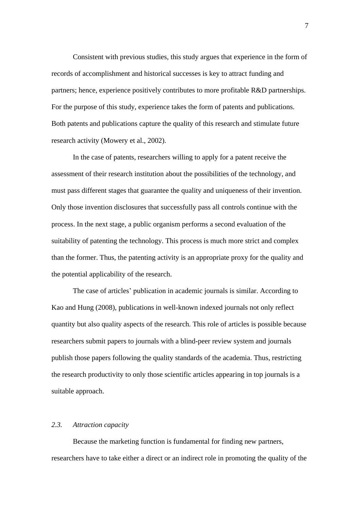Consistent with previous studies, this study argues that experience in the form of records of accomplishment and historical successes is key to attract funding and partners; hence, experience positively contributes to more profitable R&D partnerships. For the purpose of this study, experience takes the form of patents and publications. Both patents and publications capture the quality of this research and stimulate future research activity (Mowery et al., 2002).

In the case of patents, researchers willing to apply for a patent receive the assessment of their research institution about the possibilities of the technology, and must pass different stages that guarantee the quality and uniqueness of their invention. Only those invention disclosures that successfully pass all controls continue with the process. In the next stage, a public organism performs a second evaluation of the suitability of patenting the technology. This process is much more strict and complex than the former. Thus, the patenting activity is an appropriate proxy for the quality and the potential applicability of the research.

The case of articles' publication in academic journals is similar. According to Kao and Hung (2008), publications in well-known indexed journals not only reflect quantity but also quality aspects of the research. This role of articles is possible because researchers submit papers to journals with a blind-peer review system and journals publish those papers following the quality standards of the academia. Thus, restricting the research productivity to only those scientific articles appearing in top journals is a suitable approach.

#### *2.3. Attraction capacity*

Because the marketing function is fundamental for finding new partners, researchers have to take either a direct or an indirect role in promoting the quality of the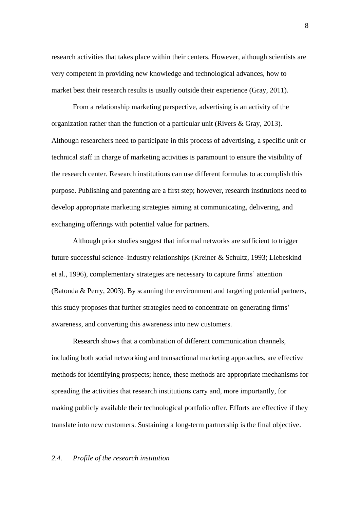research activities that takes place within their centers. However, although scientists are very competent in providing new knowledge and technological advances, how to market best their research results is usually outside their experience (Gray, 2011).

From a relationship marketing perspective, advertising is an activity of the organization rather than the function of a particular unit (Rivers & Gray, 2013). Although researchers need to participate in this process of advertising, a specific unit or technical staff in charge of marketing activities is paramount to ensure the visibility of the research center. Research institutions can use different formulas to accomplish this purpose. Publishing and patenting are a first step; however, research institutions need to develop appropriate marketing strategies aiming at communicating, delivering, and exchanging offerings with potential value for partners.

Although prior studies suggest that informal networks are sufficient to trigger future successful science–industry relationships (Kreiner & Schultz, 1993; Liebeskind et al., 1996), complementary strategies are necessary to capture firms' attention (Batonda & Perry, 2003). By scanning the environment and targeting potential partners, this study proposes that further strategies need to concentrate on generating firms' awareness, and converting this awareness into new customers.

Research shows that a combination of different communication channels, including both social networking and transactional marketing approaches, are effective methods for identifying prospects; hence, these methods are appropriate mechanisms for spreading the activities that research institutions carry and, more importantly, for making publicly available their technological portfolio offer. Efforts are effective if they translate into new customers. Sustaining a long-term partnership is the final objective.

#### *2.4. Profile of the research institution*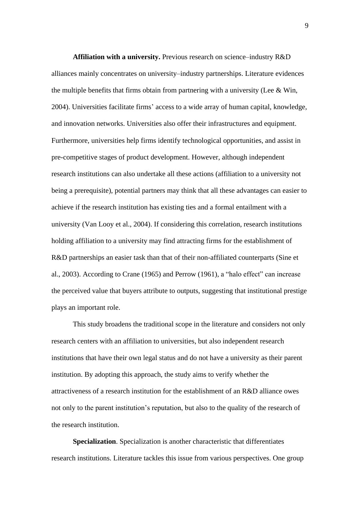**Affiliation with a university.** Previous research on science–industry R&D alliances mainly concentrates on university–industry partnerships. Literature evidences the multiple benefits that firms obtain from partnering with a university (Lee  $\&$  Win, 2004). Universities facilitate firms' access to a wide array of human capital, knowledge, and innovation networks. Universities also offer their infrastructures and equipment. Furthermore, universities help firms identify technological opportunities, and assist in pre-competitive stages of product development. However, although independent research institutions can also undertake all these actions (affiliation to a university not being a prerequisite), potential partners may think that all these advantages can easier to achieve if the research institution has existing ties and a formal entailment with a university (Van Looy et al., 2004). If considering this correlation, research institutions holding affiliation to a university may find attracting firms for the establishment of R&D partnerships an easier task than that of their non-affiliated counterparts (Sine et al., 2003). According to Crane (1965) and Perrow (1961), a "halo effect" can increase the perceived value that buyers attribute to outputs, suggesting that institutional prestige plays an important role.

This study broadens the traditional scope in the literature and considers not only research centers with an affiliation to universities, but also independent research institutions that have their own legal status and do not have a university as their parent institution. By adopting this approach, the study aims to verify whether the attractiveness of a research institution for the establishment of an R&D alliance owes not only to the parent institution's reputation, but also to the quality of the research of the research institution.

**Specialization**. Specialization is another characteristic that differentiates research institutions. Literature tackles this issue from various perspectives. One group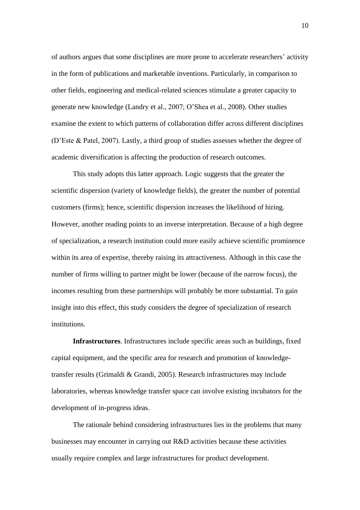of authors argues that some disciplines are more prone to accelerate researchers' activity in the form of publications and marketable inventions. Particularly, in comparison to other fields, engineering and medical-related sciences stimulate a greater capacity to generate new knowledge (Landry et al., 2007; O'Shea et al., 2008). Other studies examine the extent to which patterns of collaboration differ across different disciplines (D'Este & Patel, 2007). Lastly, a third group of studies assesses whether the degree of academic diversification is affecting the production of research outcomes.

This study adopts this latter approach. Logic suggests that the greater the scientific dispersion (variety of knowledge fields), the greater the number of potential customers (firms); hence, scientific dispersion increases the likelihood of hiring. However, another reading points to an inverse interpretation. Because of a high degree of specialization, a research institution could more easily achieve scientific prominence within its area of expertise, thereby raising its attractiveness. Although in this case the number of firms willing to partner might be lower (because of the narrow focus), the incomes resulting from these partnerships will probably be more substantial. To gain insight into this effect, this study considers the degree of specialization of research institutions.

**Infrastructures**. Infrastructures include specific areas such as buildings, fixed capital equipment, and the specific area for research and promotion of knowledgetransfer results (Grimaldi & Grandi, 2005). Research infrastructures may include laboratories, whereas knowledge transfer space can involve existing incubators for the development of in-progress ideas.

The rationale behind considering infrastructures lies in the problems that many businesses may encounter in carrying out R&D activities because these activities usually require complex and large infrastructures for product development.

10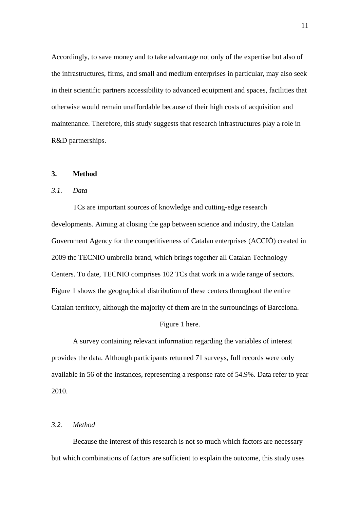Accordingly, to save money and to take advantage not only of the expertise but also of the infrastructures, firms, and small and medium enterprises in particular, may also seek in their scientific partners accessibility to advanced equipment and spaces, facilities that otherwise would remain unaffordable because of their high costs of acquisition and maintenance. Therefore, this study suggests that research infrastructures play a role in R&D partnerships.

#### **3. Method**

# *3.1. Data*

TCs are important sources of knowledge and cutting-edge research developments. Aiming at closing the gap between science and industry, the Catalan Government Agency for the competitiveness of Catalan enterprises (ACCIÓ) created in 2009 the TECNIO umbrella brand, which brings together all Catalan Technology Centers. To date, TECNIO comprises 102 TCs that work in a wide range of sectors. Figure 1 shows the geographical distribution of these centers throughout the entire Catalan territory, although the majority of them are in the surroundings of Barcelona.

#### Figure 1 here.

A survey containing relevant information regarding the variables of interest provides the data. Although participants returned 71 surveys, full records were only available in 56 of the instances, representing a response rate of 54.9%. Data refer to year 2010.

# *3.2. Method*

Because the interest of this research is not so much which factors are necessary but which combinations of factors are sufficient to explain the outcome, this study uses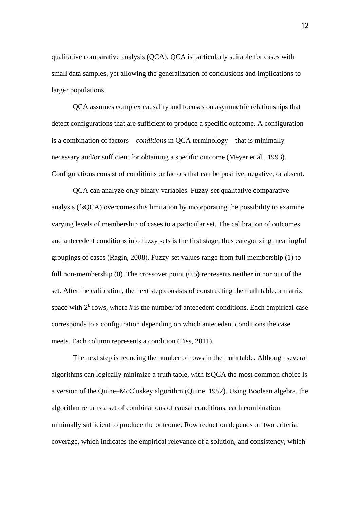qualitative comparative analysis (QCA). QCA is particularly suitable for cases with small data samples, yet allowing the generalization of conclusions and implications to larger populations.

QCA assumes complex causality and focuses on asymmetric relationships that detect configurations that are sufficient to produce a specific outcome. A configuration is a combination of factors—*conditions* in QCA terminology—that is minimally necessary and/or sufficient for obtaining a specific outcome (Meyer et al., 1993). Configurations consist of conditions or factors that can be positive, negative, or absent.

QCA can analyze only binary variables. Fuzzy-set qualitative comparative analysis (fsQCA) overcomes this limitation by incorporating the possibility to examine varying levels of membership of cases to a particular set. The calibration of outcomes and antecedent conditions into fuzzy sets is the first stage, thus categorizing meaningful groupings of cases (Ragin, 2008). Fuzzy-set values range from full membership (1) to full non-membership (0). The crossover point (0.5) represents neither in nor out of the set. After the calibration, the next step consists of constructing the truth table, a matrix space with  $2^k$  rows, where  $k$  is the number of antecedent conditions. Each empirical case corresponds to a configuration depending on which antecedent conditions the case meets. Each column represents a condition (Fiss, 2011).

The next step is reducing the number of rows in the truth table. Although several algorithms can logically minimize a truth table, with fsQCA the most common choice is a version of the Quine–McCluskey algorithm (Quine, 1952). Using Boolean algebra, the algorithm returns a set of combinations of causal conditions, each combination minimally sufficient to produce the outcome. Row reduction depends on two criteria: coverage, which indicates the empirical relevance of a solution, and consistency, which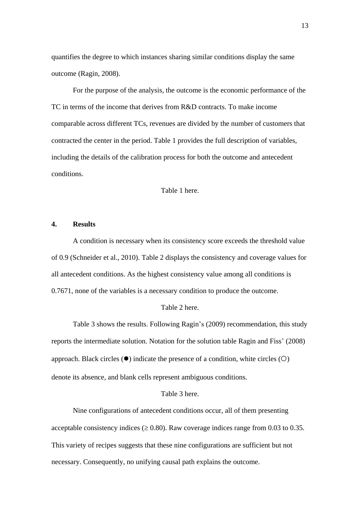quantifies the degree to which instances sharing similar conditions display the same outcome (Ragin, 2008).

For the purpose of the analysis, the outcome is the economic performance of the TC in terms of the income that derives from R&D contracts. To make income comparable across different TCs, revenues are divided by the number of customers that contracted the center in the period. Table 1 provides the full description of variables, including the details of the calibration process for both the outcome and antecedent conditions.

Table 1 here.

#### **4. Results**

A condition is necessary when its consistency score exceeds the threshold value of 0.9 (Schneider et al., 2010). Table 2 displays the consistency and coverage values for all antecedent conditions. As the highest consistency value among all conditions is 0.7671, none of the variables is a necessary condition to produce the outcome.

#### Table 2 here.

Table 3 shows the results. Following Ragin's (2009) recommendation, this study reports the intermediate solution. Notation for the solution table Ragin and Fiss' (2008) approach. Black circles  $(\bullet)$  indicate the presence of a condition, white circles  $(O)$ denote its absence, and blank cells represent ambiguous conditions.

#### Table 3 here.

Nine configurations of antecedent conditions occur, all of them presenting acceptable consistency indices ( $\geq 0.80$ ). Raw coverage indices range from 0.03 to 0.35. This variety of recipes suggests that these nine configurations are sufficient but not necessary. Consequently, no unifying causal path explains the outcome.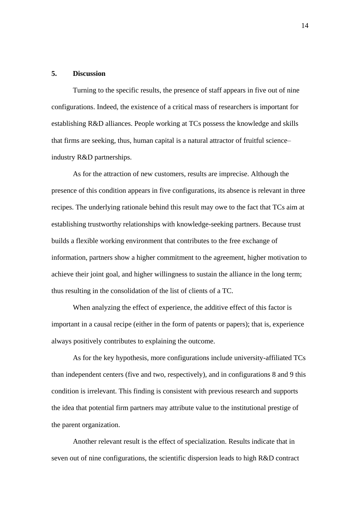#### **5. Discussion**

Turning to the specific results, the presence of staff appears in five out of nine configurations. Indeed, the existence of a critical mass of researchers is important for establishing R&D alliances. People working at TCs possess the knowledge and skills that firms are seeking, thus, human capital is a natural attractor of fruitful science– industry R&D partnerships.

As for the attraction of new customers, results are imprecise. Although the presence of this condition appears in five configurations, its absence is relevant in three recipes. The underlying rationale behind this result may owe to the fact that TCs aim at establishing trustworthy relationships with knowledge-seeking partners. Because trust builds a flexible working environment that contributes to the free exchange of information, partners show a higher commitment to the agreement, higher motivation to achieve their joint goal, and higher willingness to sustain the alliance in the long term; thus resulting in the consolidation of the list of clients of a TC.

When analyzing the effect of experience, the additive effect of this factor is important in a causal recipe (either in the form of patents or papers); that is, experience always positively contributes to explaining the outcome.

As for the key hypothesis, more configurations include university-affiliated TCs than independent centers (five and two, respectively), and in configurations 8 and 9 this condition is irrelevant. This finding is consistent with previous research and supports the idea that potential firm partners may attribute value to the institutional prestige of the parent organization.

Another relevant result is the effect of specialization. Results indicate that in seven out of nine configurations, the scientific dispersion leads to high R&D contract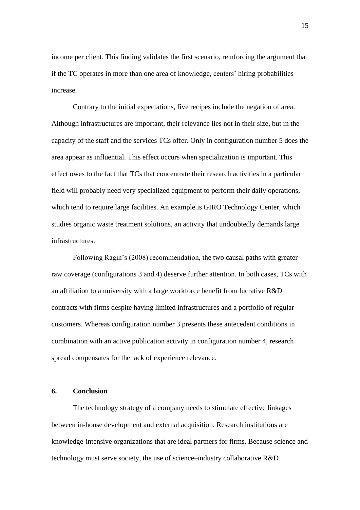income per client. This finding validates the first scenario, reinforcing the argument that if the TC operates in more than one area of knowledge, centers' hiring probabilities increase.

Contrary to the initial expectations, five recipes include the negation of area. Although infrastructures are important, their relevance lies not in their size, but in the capacity of the staff and the services TCs offer. Only in configuration number 5 does the area appear as influential. This effect occurs when specialization is important. This effect owes to the fact that TCs that concentrate their research activities in a particular field will probably need very specialized equipment to perform their daily operations, which tend to require large facilities. An example is GIRO Technology Center, which studies organic waste treatment solutions, an activity that undoubtedly demands large infrastructures.

Following Ragin's (2008) recommendation, the two causal paths with greater raw coverage (configurations 3 and 4) deserve further attention. In both cases, TCs with an affiliation to a university with a large workforce benefit from lucrative R&D contracts with firms despite having limited infrastructures and a portfolio of regular customers. Whereas configuration number 3 presents these antecedent conditions in combination with an active publication activity in configuration number 4, research spread compensates for the lack of experience relevance.

#### **6. Conclusion**

The technology strategy of a company needs to stimulate effective linkages between in-house development and external acquisition. Research institutions are knowledge-intensive organizations that are ideal partners for firms. Because science and technology must serve society, the use of science–industry collaborative R&D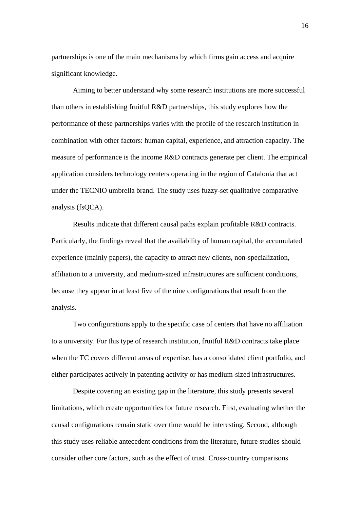partnerships is one of the main mechanisms by which firms gain access and acquire significant knowledge.

Aiming to better understand why some research institutions are more successful than others in establishing fruitful R&D partnerships, this study explores how the performance of these partnerships varies with the profile of the research institution in combination with other factors: human capital, experience, and attraction capacity. The measure of performance is the income R&D contracts generate per client. The empirical application considers technology centers operating in the region of Catalonia that act under the TECNIO umbrella brand. The study uses fuzzy-set qualitative comparative analysis (fsQCA).

Results indicate that different causal paths explain profitable R&D contracts. Particularly, the findings reveal that the availability of human capital, the accumulated experience (mainly papers), the capacity to attract new clients, non-specialization, affiliation to a university, and medium-sized infrastructures are sufficient conditions, because they appear in at least five of the nine configurations that result from the analysis.

Two configurations apply to the specific case of centers that have no affiliation to a university. For this type of research institution, fruitful R&D contracts take place when the TC covers different areas of expertise, has a consolidated client portfolio, and either participates actively in patenting activity or has medium-sized infrastructures.

Despite covering an existing gap in the literature, this study presents several limitations, which create opportunities for future research. First, evaluating whether the causal configurations remain static over time would be interesting. Second, although this study uses reliable antecedent conditions from the literature, future studies should consider other core factors, such as the effect of trust. Cross-country comparisons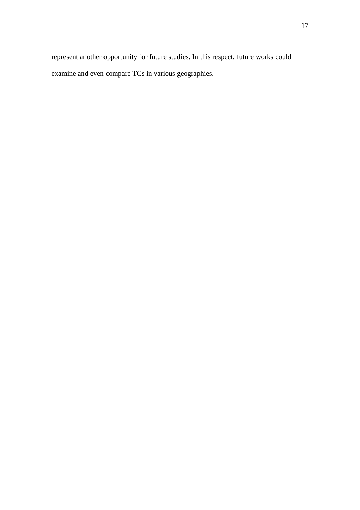represent another opportunity for future studies. In this respect, future works could examine and even compare TCs in various geographies.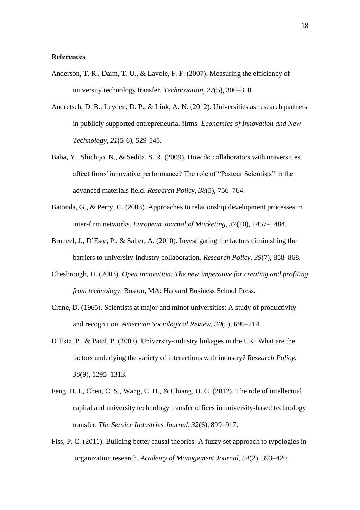# **References**

- Anderson, T. R., Daim, T. U., & Lavoie, F. F. (2007). Measuring the efficiency of university technology transfer. *Technovation, 27*(5), 306–318.
- Audretsch, D. B., Leyden, D. P., & Link, A. N. (2012). Universities as research partners in publicly supported entrepreneurial firms. *Economics of Innovation and New Technology, 21*(5-6), 529-545.
- Baba, Y., Shichijo, N., & Sedita, S. R. (2009). How do collaborators with universities affect firms' innovative performance? The role of "Pasteur Scientists" in the advanced materials field. *Research Policy, 38*(5), 756–764.
- Batonda, G., & Perry, C. (2003). Approaches to relationship development processes in inter-firm networks. *European Journal of Marketing, 37*(10), 1457–1484.
- Bruneel, J., D'Este, P., & Salter, A. (2010). Investigating the factors diminishing the barriers to university-industry collaboration. *Research Policy, 39*(7), 858–868.
- Chesbrough, H. (2003). *Open innovation: The new imperative for creating and profiting from technology*. Boston, MA: Harvard Business School Press.
- Crane, D. (1965). Scientists at major and minor universities: A study of productivity and recognition. *American Sociological Review, 30*(5), 699–714.
- D'Este, P., & Patel, P. (2007). University-industry linkages in the UK: What are the factors underlying the variety of interactions with industry? *Research Policy, 36*(9), 1295–1313.
- Feng, H. I., Chen, C. S., Wang, C. H., & Chiang, H. C. (2012). The role of intellectual capital and university technology transfer offices in university-based technology transfer. *The Service Industries Journal, 32*(6), 899–917.
- Fiss, P. C. (2011). Building better causal theories: A fuzzy set approach to typologies in organization research. *Academy of Management Journal*, *54*(2), 393–420.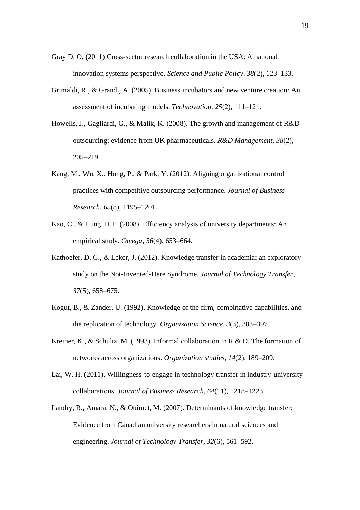- Gray D. O. (2011) Cross-sector research collaboration in the USA: A national innovation systems perspective. *Science and Public Policy, 38*(2), 123–133.
- Grimaldi, R., & Grandi, A. (2005). Business incubators and new venture creation: An assessment of incubating models. *Technovation, 25*(2), 111–121.
- Howells, J., Gagliardi, G., & Malik, K. (2008). The growth and management of R&D outsourcing: evidence from UK pharmaceuticals. *R&D Management, 38*(2), 205–219.
- Kang, M., Wu, X., Hong, P., & Park, Y. (2012). Aligning organizational control practices with competitive outsourcing performance. *Journal of Business Research, 65*(8), 1195–1201.
- Kao, C., & Hung, H.T. (2008). Efficiency analysis of university departments: An empirical study. *Omega, 36*(4), 653–664.
- Kathoefer, D. G., & Leker, J. (2012). Knowledge transfer in academia: an exploratory study on the Not-Invented-Here Syndrome. *Journal of Technology Transfer, 37*(5), 658–675.
- Kogut, B., & Zander, U. (1992). Knowledge of the firm, combinative capabilities, and the replication of technology. *Organization Science, 3*(3), 383–397.
- Kreiner, K., & Schultz, M. (1993). Informal collaboration in R & D. The formation of networks across organizations. *Organization studies, 14*(2), 189–209.
- Lai, W. H. (2011). Willingness-to-engage in technology transfer in industry-university collaborations. *Journal of Business Research, 64*(11), 1218–1223.
- Landry, R., Amara, N., & Ouimet, M. (2007). Determinants of knowledge transfer: Evidence from Canadian university researchers in natural sciences and engineering. *Journal of Technology Transfer, 32*(6), 561–592.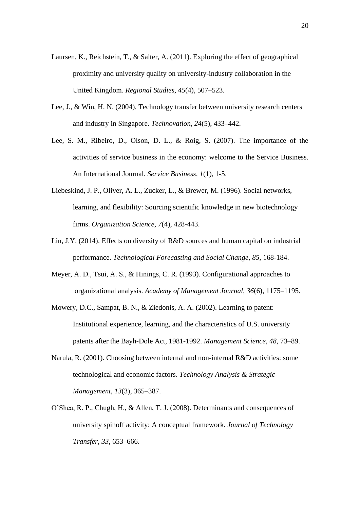- Laursen, K., Reichstein, T., & Salter, A. (2011). Exploring the effect of geographical proximity and university quality on university-industry collaboration in the United Kingdom. *Regional Studies, 45*(4), 507–523.
- Lee, J., & Win, H. N. (2004). Technology transfer between university research centers and industry in Singapore. *Technovation, 24*(5), 433–442.
- Lee, S. M., Ribeiro, D., Olson, D. L., & Roig, S. (2007). The importance of the activities of service business in the economy: welcome to the Service Business. An International Journal. *Service Business, 1*(1), 1-5.
- Liebeskind, J. P., Oliver, A. L., Zucker, L., & Brewer, M. (1996). Social networks, learning, and flexibility: Sourcing scientific knowledge in new biotechnology firms. *Organization Science, 7*(4), 428-443.
- Lin, J.Y. (2014). Effects on diversity of R&D sources and human capital on industrial performance. *Technological Forecasting and Social Change, 85*, 168-184.
- Meyer, A. D., Tsui, A. S., & Hinings, C. R. (1993). Configurational approaches to organizational analysis. *Academy of Management Journal*, *36*(6), 1175–1195.
- Mowery, D.C., Sampat, B. N., & Ziedonis, A. A. (2002). Learning to patent: Institutional experience, learning, and the characteristics of U.S. university patents after the Bayh-Dole Act, 1981-1992. *Management Science, 48*, 73–89.
- Narula, R. (2001). Choosing between internal and non-internal R&D activities: some technological and economic factors. *Technology Analysis & Strategic Management, 13*(3), 365–387.
- O'Shea, R. P., Chugh, H., & Allen, T. J. (2008). Determinants and consequences of university spinoff activity: A conceptual framework. *Journal of Technology Transfer, 33*, 653–666.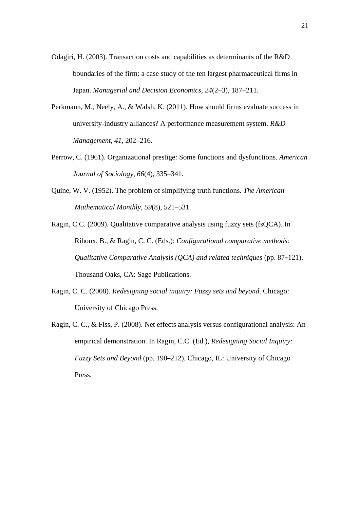- Odagiri, H. (2003). Transaction costs and capabilities as determinants of the R&D boundaries of the firm: a case study of the ten largest pharmaceutical firms in Japan. *Managerial and Decision Economics, 24*(2–3), 187–211.
- Perkmann, M., Neely, A., & Walsh, K. (2011). How should firms evaluate success in university-industry alliances? A performance measurement system. *R&D Management, 41*, 202–216.
- Perrow, C. (1961). Organizational prestige: Some functions and dysfunctions. *American Journal of Sociology, 66*(4), 335–341.
- Quine, W. V. (1952). The problem of simplifying truth functions. *The American Mathematical Monthly*, *59*(8), 521–531.
- Ragin, C.C. (2009). Qualitative comparative analysis using fuzzy sets (fsQCA). In Rihoux, B., & Ragin, C. C. (Eds.): *Configurational comparative methods: Qualitative Comparative Analysis (QCA) and related techniques* (pp. 87**–**121). Thousand Oaks, CA: Sage Publications.
- Ragin, C. C. (2008). *Redesigning social inquiry: Fuzzy sets and beyond*. Chicago: University of Chicago Press.
- Ragin, C. C., & Fiss, P. (2008). Net effects analysis versus configurational analysis: An empirical demonstration. In Ragin, C.C. (Ed.), *Redesigning Social Inquiry: Fuzzy Sets and Beyond* (pp. 190**–**212). Chicago, IL: University of Chicago Press.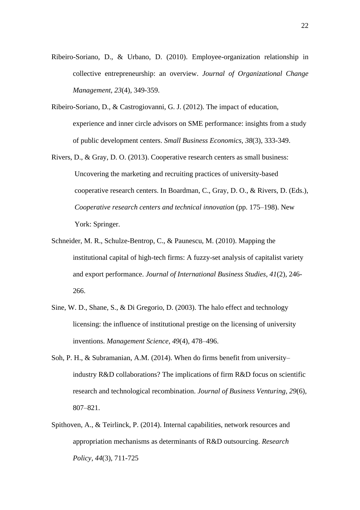- Ribeiro-Soriano, D., & Urbano, D. (2010). Employee-organization relationship in collective entrepreneurship: an overview. *Journal of Organizational Change Management, 23*(4), 349-359.
- Ribeiro-Soriano, D., & Castrogiovanni, G. J. (2012). The impact of education, experience and inner circle advisors on SME performance: insights from a study of public development centers. *Small Business Economics, 38*(3), 333-349.
- Rivers, D., & Gray, D. O. (2013). Cooperative research centers as small business: Uncovering the marketing and recruiting practices of university-based cooperative research centers. In Boardman, C., Gray, D. O., & Rivers, D. (Eds.), *Cooperative research centers and technical innovation* (pp. 175–198). New York: Springer.
- Schneider, M. R., Schulze-Bentrop, C., & Paunescu, M. (2010). Mapping the institutional capital of high-tech firms: A fuzzy-set analysis of capitalist variety and export performance. *Journal of International Business Studies*, *41*(2), 246- 266.
- Sine, W. D., Shane, S., & Di Gregorio, D. (2003). The halo effect and technology licensing: the influence of institutional prestige on the licensing of university inventions. *Management Science, 49*(4), 478–496.
- Soh, P. H., & Subramanian, A.M. (2014). When do firms benefit from university– industry R&D collaborations? The implications of firm R&D focus on scientific research and technological recombination. *Journal of Business Venturing, 29*(6), 807–821.
- Spithoven, A., & Teirlinck, P. (2014). Internal capabilities, network resources and appropriation mechanisms as determinants of R&D outsourcing. *Research Policy*, *44*(3), 711-725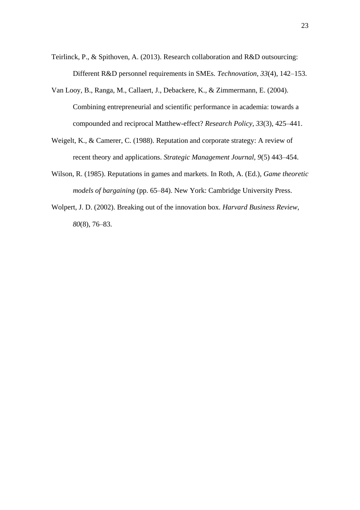- Teirlinck, P., & Spithoven, A. (2013). Research collaboration and R&D outsourcing: Different R&D personnel requirements in SMEs. *Technovation, 33*(4), 142–153.
- Van Looy, B., Ranga, M., Callaert, J., Debackere, K., & Zimmermann, E. (2004). Combining entrepreneurial and scientific performance in academia: towards a compounded and reciprocal Matthew-effect? *Research Policy, 33*(3), 425–441.
- Weigelt, K., & Camerer, C. (1988). Reputation and corporate strategy: A review of recent theory and applications. *Strategic Management Journal, 9*(5) 443–454.
- Wilson, R. (1985). Reputations in games and markets. In Roth, A. (Ed.), *Game theoretic models of bargaining* (pp. 65–84). New York: Cambridge University Press.
- Wolpert, J. D. (2002). Breaking out of the innovation box. *Harvard Business Review, 80*(8), 76–83.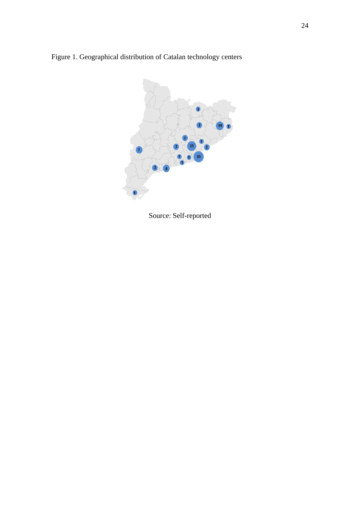Figure 1. Geographical distribution of Catalan technology centers



Source: Self-reported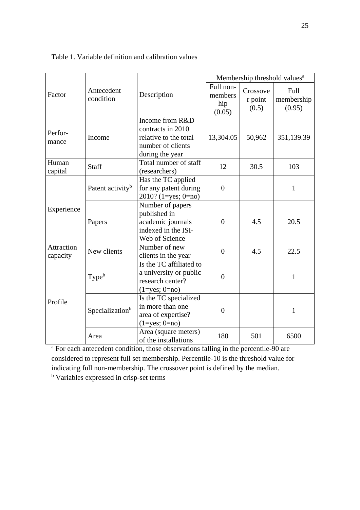|                               |                              |                                                                                                       | Membership threshold values <sup>a</sup> |                              |                              |  |
|-------------------------------|------------------------------|-------------------------------------------------------------------------------------------------------|------------------------------------------|------------------------------|------------------------------|--|
| Factor                        | Antecedent<br>condition      | Description                                                                                           | Full non-<br>members<br>hip<br>(0.05)    | Crossove<br>r point<br>(0.5) | Full<br>membership<br>(0.95) |  |
| Perfor-<br>mance              | Income                       | Income from R&D<br>contracts in 2010<br>relative to the total<br>number of clients<br>during the year | 13,304.05                                | 50,962                       | 351,139.39                   |  |
| Human<br>capital              | <b>Staff</b>                 | Total number of staff<br>(researchers)                                                                | 12                                       | 30.5                         | 103                          |  |
| Experience                    | Patent activity <sup>b</sup> | Has the TC applied<br>for any patent during<br>$2010?$ (1=yes; 0=no)                                  | $\overline{0}$                           |                              | 1                            |  |
|                               | Papers                       | Number of papers<br>published in<br>academic journals<br>indexed in the ISI-<br>Web of Science        | $\overline{0}$                           | 4.5                          | 20.5                         |  |
| <b>Attraction</b><br>capacity | New clients                  | Number of new<br>clients in the year                                                                  | $\overline{0}$                           | 4.5                          | 22.5                         |  |
| Profile                       | Type <sup>b</sup>            | Is the TC affiliated to<br>a university or public<br>research center?<br>$(1 = yes; 0 = no)$          | $\overline{0}$                           |                              | $\mathbf{1}$                 |  |
|                               | Specialization <sup>b</sup>  | Is the TC specialized<br>in more than one<br>area of expertise?<br>$(1 = yes; 0 = no)$                | $\overline{0}$                           |                              | $\mathbf{1}$                 |  |
|                               | Area                         | Area (square meters)<br>of the installations                                                          | 180                                      | 501                          | 6500                         |  |

Table 1. Variable definition and calibration values

<sup>a</sup> For each antecedent condition, those observations falling in the percentile-90 are considered to represent full set membership. Percentile-10 is the threshold value for indicating full non-membership. The crossover point is defined by the median.

<sup>b</sup> Variables expressed in crisp-set terms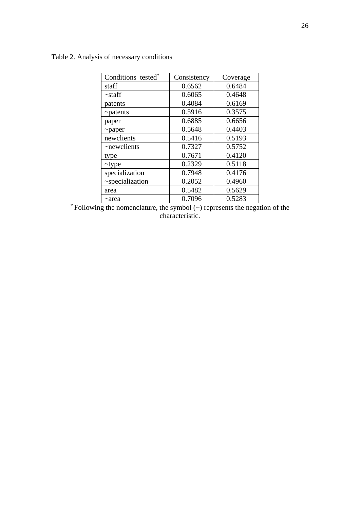# Table 2. Analysis of necessary conditions

| Conditions tested* | Consistency | Coverage |
|--------------------|-------------|----------|
| staff              | 0.6562      | 0.6484   |
| $\sim$ staff       | 0.6065      | 0.4648   |
| patents            | 0.4084      | 0.6169   |
| $\sim$ patents     | 0.5916      | 0.3575   |
| paper              | 0.6885      | 0.6656   |
| $\sim$ paper       | 0.5648      | 0.4403   |
| newclients         | 0.5416      | 0.5193   |
| ~newclients        | 0.7327      | 0.5752   |
| type               | 0.7671      | 0.4120   |
| $\sim$ type        | 0.2329      | 0.5118   |
| specialization     | 0.7948      | 0.4176   |
| ~specialization    | 0.2052      | 0.4960   |
| area               | 0.5482      | 0.5629   |
| ~area              | 0.7096      | 0.5283   |

\* Following the nomenclature, the symbol (~) represents the negation of the characteristic.